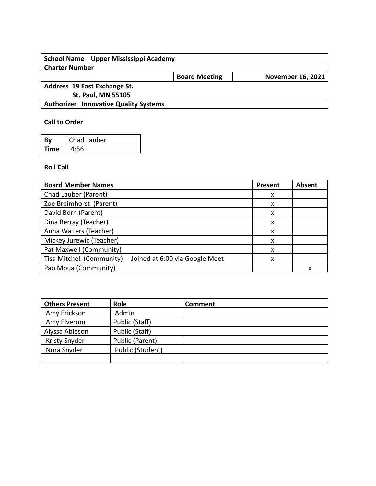| School Name Upper Mississippi Academy        |                      |                          |
|----------------------------------------------|----------------------|--------------------------|
| <b>Charter Number</b>                        |                      |                          |
|                                              | <b>Board Meeting</b> | <b>November 16, 2021</b> |
| Address 19 East Exchange St.                 |                      |                          |
| <b>St. Paul, MN 55105</b>                    |                      |                          |
| <b>Authorizer Innovative Quality Systems</b> |                      |                          |
|                                              |                      |                          |

## **Call to Order**

|      | Chad Lauber |
|------|-------------|
| Fime |             |

## **Roll Call**

| <b>Board Member Names</b>                                   | <b>Present</b> | <b>Absent</b> |
|-------------------------------------------------------------|----------------|---------------|
| Chad Lauber (Parent)                                        | X              |               |
| Zoe Breimhorst (Parent)                                     | x              |               |
| David Born (Parent)                                         | x              |               |
| Dina Berray (Teacher)                                       | х              |               |
| Anna Walters (Teacher)                                      | X              |               |
| Mickey Jurewic (Teacher)                                    | x              |               |
| Pat Maxwell (Community)                                     | x              |               |
| Tisa Mitchell (Community)<br>Joined at 6:00 via Google Meet | x              |               |
| Pao Moua (Community)                                        |                |               |

| <b>Others Present</b> | Role             | <b>Comment</b> |
|-----------------------|------------------|----------------|
| Amy Erickson          | Admin            |                |
| Amy Elverum           | Public (Staff)   |                |
| Alyssa Ableson        | Public (Staff)   |                |
| <b>Kristy Snyder</b>  | Public (Parent)  |                |
| Nora Snyder           | Public (Student) |                |
|                       |                  |                |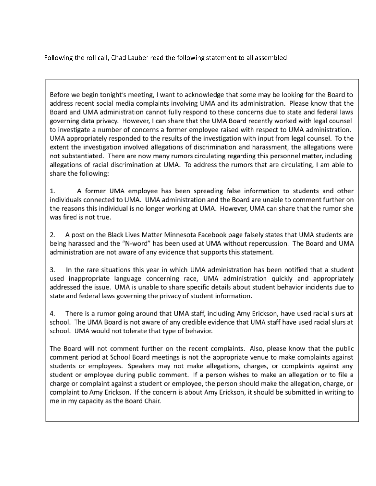Following the roll call, Chad Lauber read the following statement to all assembled:

Before we begin tonight's meeting, I want to acknowledge that some may be looking for the Board to address recent social media complaints involving UMA and its administration. Please know that the Board and UMA administration cannot fully respond to these concerns due to state and federal laws governing data privacy. However, I can share that the UMA Board recently worked with legal counsel to investigate a number of concerns a former employee raised with respect to UMA administration. UMA appropriately responded to the results of the investigation with input from legal counsel. To the extent the investigation involved allegations of discrimination and harassment, the allegations were not substantiated. There are now many rumors circulating regarding this personnel matter, including allegations of racial discrimination at UMA. To address the rumors that are circulating, I am able to share the following:

1. A former UMA employee has been spreading false information to students and other individuals connected to UMA. UMA administration and the Board are unable to comment further on the reasons this individual is no longer working at UMA. However, UMA can share that the rumor she was fired is not true.

2. A post on the Black Lives Matter Minnesota Facebook page falsely states that UMA students are being harassed and the "N-word" has been used at UMA without repercussion. The Board and UMA administration are not aware of any evidence that supports this statement.

3. In the rare situations this year in which UMA administration has been notified that a student used inappropriate language concerning race, UMA administration quickly and appropriately addressed the issue. UMA is unable to share specific details about student behavior incidents due to state and federal laws governing the privacy of student information.

4. There is a rumor going around that UMA staff, including Amy Erickson, have used racial slurs at school. The UMA Board is not aware of any credible evidence that UMA staff have used racial slurs at school. UMA would not tolerate that type of behavior.

The Board will not comment further on the recent complaints. Also, please know that the public comment period at School Board meetings is not the appropriate venue to make complaints against students or employees. Speakers may not make allegations, charges, or complaints against any student or employee during public comment. If a person wishes to make an allegation or to file a charge or complaint against a student or employee, the person should make the allegation, charge, or complaint to Amy Erickson. If the concern is about Amy Erickson, it should be submitted in writing to me in my capacity as the Board Chair.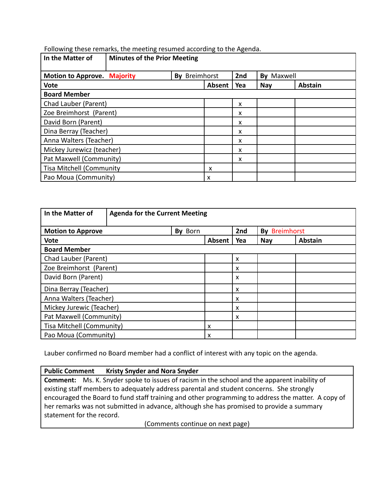Following these remarks, the meeting resumed according to the Agenda.

| In the Matter of                   | <b>Minutes of the Prior Meeting</b> |                  |        |     |               |                |
|------------------------------------|-------------------------------------|------------------|--------|-----|---------------|----------------|
| <b>Motion to Approve. Majority</b> |                                     | Breimhorst<br>Bv |        | 2nd | Maxwell<br>Bv |                |
| <b>Vote</b>                        |                                     |                  | Absent | Yea | <b>Nay</b>    | <b>Abstain</b> |
| <b>Board Member</b>                |                                     |                  |        |     |               |                |
| Chad Lauber (Parent)               |                                     |                  |        | x   |               |                |
| Zoe Breimhorst (Parent)            |                                     |                  |        | x   |               |                |
| David Born (Parent)                |                                     |                  |        | X   |               |                |
| Dina Berray (Teacher)              |                                     |                  |        | x   |               |                |
| Anna Walters (Teacher)             |                                     |                  |        | x   |               |                |
| Mickey Jurewicz (teacher)          |                                     |                  |        | X   |               |                |
| Pat Maxwell (Community)            |                                     |                  |        | x   |               |                |
| <b>Tisa Mitchell (Community</b>    |                                     |                  | X      |     |               |                |
| Pao Moua (Community)               |                                     |                  | X      |     |               |                |

| In the Matter of<br><b>Agenda for the Current Meeting</b> |         |        |                           |                      |                |
|-----------------------------------------------------------|---------|--------|---------------------------|----------------------|----------------|
| <b>Motion to Approve</b>                                  | By Born |        | 2nd                       | <b>By Breimhorst</b> |                |
| <b>Vote</b>                                               |         | Absent | Yea                       | <b>Nay</b>           | <b>Abstain</b> |
| <b>Board Member</b>                                       |         |        |                           |                      |                |
| Chad Lauber (Parent)                                      |         |        | $\boldsymbol{\mathsf{x}}$ |                      |                |
| Zoe Breimhorst (Parent)                                   |         |        | $\boldsymbol{\mathsf{x}}$ |                      |                |
| David Born (Parent)                                       |         |        | $\boldsymbol{\mathsf{x}}$ |                      |                |
| Dina Berray (Teacher)                                     |         |        | $\boldsymbol{\mathsf{x}}$ |                      |                |
| Anna Walters (Teacher)                                    |         |        | X                         |                      |                |
| Mickey Jurewic (Teacher)                                  |         |        | $\boldsymbol{\mathsf{x}}$ |                      |                |
| Pat Maxwell (Community)                                   |         |        | $\boldsymbol{\mathsf{x}}$ |                      |                |
| Tisa Mitchell (Community)                                 |         | x      |                           |                      |                |
| Pao Moua (Community)                                      |         | X      |                           |                      |                |

Lauber confirmed no Board member had a conflict of interest with any topic on the agenda.

**Public Comment Kristy Snyder and Nora Snyder**

**Comment:** Ms. K. Snyder spoke to issues of racism in the school and the apparent inability of existing staff members to adequately address parental and student concerns. She strongly encouraged the Board to fund staff training and other programming to address the matter. A copy of her remarks was not submitted in advance, although she has promised to provide a summary statement for the record.

(Comments continue on next page)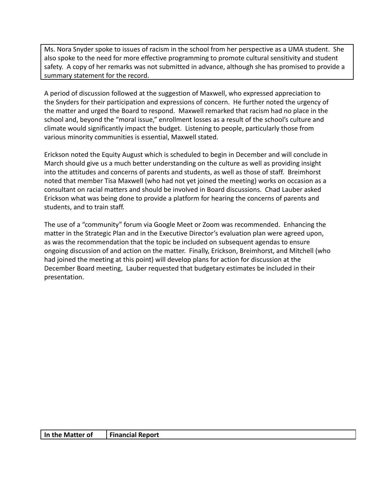Ms. Nora Snyder spoke to issues of racism in the school from her perspective as a UMA student. She also spoke to the need for more effective programming to promote cultural sensitivity and student safety. A copy of her remarks was not submitted in advance, although she has promised to provide a summary statement for the record.

A period of discussion followed at the suggestion of Maxwell, who expressed appreciation to the Snyders for their participation and expressions of concern. He further noted the urgency of the matter and urged the Board to respond. Maxwell remarked that racism had no place in the school and, beyond the "moral issue," enrollment losses as a result of the school's culture and climate would significantly impact the budget. Listening to people, particularly those from various minority communities is essential, Maxwell stated.

Erickson noted the Equity August which is scheduled to begin in December and will conclude in March should give us a much better understanding on the culture as well as providing insight into the attitudes and concerns of parents and students, as well as those of staff. Breimhorst noted that member Tisa Maxwell (who had not yet joined the meeting) works on occasion as a consultant on racial matters and should be involved in Board discussions. Chad Lauber asked Erickson what was being done to provide a platform for hearing the concerns of parents and students, and to train staff.

The use of a "community" forum via Google Meet or Zoom was recommended. Enhancing the matter in the Strategic Plan and in the Executive Director's evaluation plan were agreed upon, as was the recommendation that the topic be included on subsequent agendas to ensure ongoing discussion of and action on the matter. Finally, Erickson, Breimhorst, and Mitchell (who had joined the meeting at this point) will develop plans for action for discussion at the December Board meeting, Lauber requested that budgetary estimates be included in their presentation.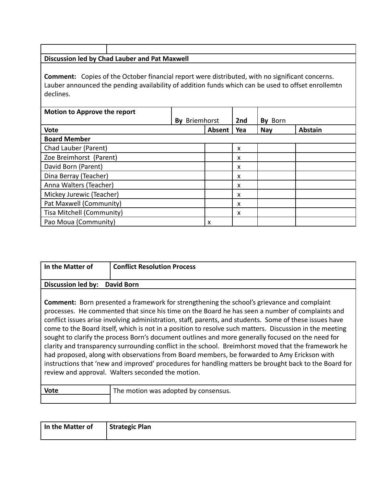| Discussion led by Chad Lauber and Pat Maxwell                                                                                                                                                                             |               |        |            |            |                |
|---------------------------------------------------------------------------------------------------------------------------------------------------------------------------------------------------------------------------|---------------|--------|------------|------------|----------------|
| <b>Comment:</b> Copies of the October financial report were distributed, with no significant concerns.<br>Lauber announced the pending availability of addition funds which can be used to offset enrollemtn<br>declines. |               |        |            |            |                |
| <b>Motion to Approve the report</b>                                                                                                                                                                                       |               |        |            |            |                |
| <b>Vote</b>                                                                                                                                                                                                               | By Briemhorst | Absent | 2nd<br>Yea | By Born    | <b>Abstain</b> |
| <b>Board Member</b>                                                                                                                                                                                                       |               |        |            | <b>Nay</b> |                |
| Chad Lauber (Parent)                                                                                                                                                                                                      |               |        | x          |            |                |
| Zoe Breimhorst (Parent)                                                                                                                                                                                                   |               |        | x          |            |                |
| David Born (Parent)                                                                                                                                                                                                       |               |        | x          |            |                |
| Dina Berray (Teacher)                                                                                                                                                                                                     |               |        | X          |            |                |
| Anna Walters (Teacher)                                                                                                                                                                                                    |               |        | X          |            |                |
| Mickey Jurewic (Teacher)                                                                                                                                                                                                  |               |        | x          |            |                |
| Pat Maxwell (Community)                                                                                                                                                                                                   |               |        | x          |            |                |
| Tisa Mitchell (Community)                                                                                                                                                                                                 |               |        | x          |            |                |

Pao Moua (Community) x

| In the Matter of          | <b>Conflict Resolution Process</b>                                                                                                                                                                                                                                                                                                                                                                                                                                                                                                                                                                                                                                                                                                                                                                                                                                                                  |
|---------------------------|-----------------------------------------------------------------------------------------------------------------------------------------------------------------------------------------------------------------------------------------------------------------------------------------------------------------------------------------------------------------------------------------------------------------------------------------------------------------------------------------------------------------------------------------------------------------------------------------------------------------------------------------------------------------------------------------------------------------------------------------------------------------------------------------------------------------------------------------------------------------------------------------------------|
| <b>Discussion led by:</b> | <b>David Born</b>                                                                                                                                                                                                                                                                                                                                                                                                                                                                                                                                                                                                                                                                                                                                                                                                                                                                                   |
|                           | <b>Comment:</b> Born presented a framework for strengthening the school's grievance and complaint<br>processes. He commented that since his time on the Board he has seen a number of complaints and<br>conflict issues arise involving administration, staff, parents, and students. Some of these issues have<br>come to the Board itself, which is not in a position to resolve such matters. Discussion in the meeting<br>sought to clarify the process Born's document outlines and more generally focused on the need for<br>clarity and transparency surrounding conflict in the school. Breimhorst moved that the framework he<br>had proposed, along with observations from Board members, be forwarded to Amy Erickson with<br>instructions that 'new and improved' procedures for handling matters be brought back to the Board for<br>review and approval. Walters seconded the motion. |
| <b>Vote</b>               | The motion was adopted by consensus.                                                                                                                                                                                                                                                                                                                                                                                                                                                                                                                                                                                                                                                                                                                                                                                                                                                                |

| In the Matter of | <b>Strategic Plan</b> |
|------------------|-----------------------|
|                  |                       |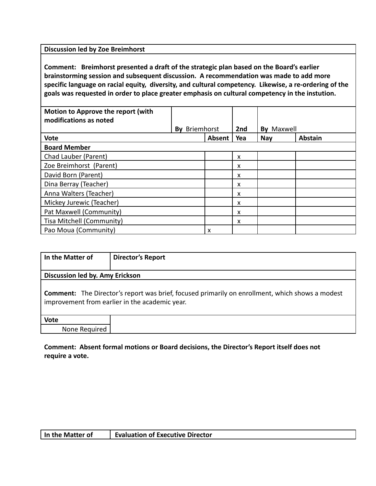**Discussion led by Zoe Breimhorst**

**Comment: Breimhorst presented a draft of the strategic plan based on the Board's earlier brainstorming session and subsequent discussion. A recommendation was made to add more specific language on racial equity, diversity, and cultural competency. Likewise, a re-ordering of the goals was requested in order to place greater emphasis on cultural competency in the instution.**

| Motion to Approve the report (with<br>modifications as noted |                      |        |     |               |                |
|--------------------------------------------------------------|----------------------|--------|-----|---------------|----------------|
|                                                              | <b>By Briemhorst</b> |        | 2nd | Maxwell<br>Bv |                |
| <b>Vote</b>                                                  |                      | Absent | Yea | <b>Nay</b>    | <b>Abstain</b> |
| <b>Board Member</b>                                          |                      |        |     |               |                |
| Chad Lauber (Parent)                                         |                      |        | X   |               |                |
| Zoe Breimhorst (Parent)                                      |                      |        | x   |               |                |
| David Born (Parent)                                          |                      |        | x   |               |                |
| Dina Berray (Teacher)                                        |                      |        | x   |               |                |
| Anna Walters (Teacher)                                       |                      |        | x   |               |                |
| Mickey Jurewic (Teacher)                                     |                      |        | x   |               |                |
| Pat Maxwell (Community)                                      |                      |        | X   |               |                |
| Tisa Mitchell (Community)                                    |                      |        | x   |               |                |
| Pao Moua (Community)                                         |                      | x      |     |               |                |

| In the Matter of                | <b>Director's Report</b>                                                                                                                                 |  |  |  |  |
|---------------------------------|----------------------------------------------------------------------------------------------------------------------------------------------------------|--|--|--|--|
| Discussion led by. Amy Erickson |                                                                                                                                                          |  |  |  |  |
|                                 | <b>Comment:</b> The Director's report was brief, focused primarily on enrollment, which shows a modest<br>improvement from earlier in the academic year. |  |  |  |  |
| <b>Vote</b>                     |                                                                                                                                                          |  |  |  |  |
| None Required                   |                                                                                                                                                          |  |  |  |  |

## **Comment: Absent formal motions or Board decisions, the Director's Report itself does not require a vote.**

| In the Matter of | <b>Evaluation of Executive Director</b> |
|------------------|-----------------------------------------|
|------------------|-----------------------------------------|